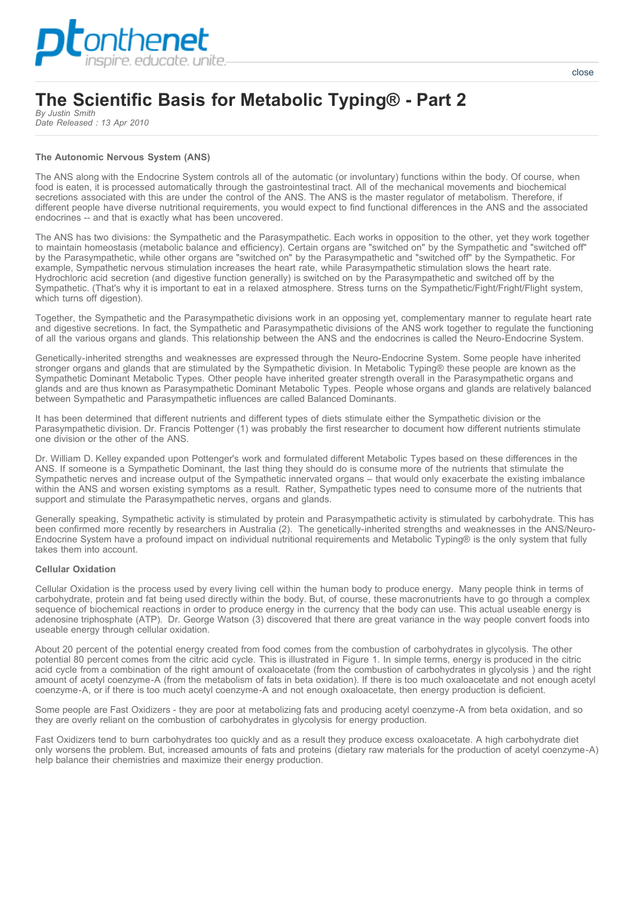

# **The Scientific Basis for Metabolic Typing® - Part 2**

*By Justin Smith Date Released : 13 Apr 2010*

# **The Autonomic Nervous System (ANS)**

The ANS along with the Endocrine System controls all of the automatic (or involuntary) functions within the body. Of course, when food is eaten, it is processed automatically through the gastrointestinal tract. All of the mechanical movements and biochemical secretions associated with this are under the control of the ANS. The ANS is the master regulator of metabolism. Therefore, if different people have diverse nutritional requirements, you would expect to find functional differences in the ANS and the associated endocrines -- and that is exactly what has been uncovered.

The ANS has two divisions: the Sympathetic and the Parasympathetic. Each works in opposition to the other, yet they work together to maintain homeostasis (metabolic balance and efficiency). Certain organs are "switched on" by the Sympathetic and "switched off" by the Parasympathetic, while other organs are "switched on" by the Parasympathetic and "switched off" by the Sympathetic. For example, Sympathetic nervous stimulation increases the heart rate, while Parasympathetic stimulation slows the heart rate. Hydrochloric acid secretion (and digestive function generally) is switched on by the Parasympathetic and switched off by the Sympathetic. (That's why it is important to eat in a relaxed atmosphere. Stress turns on the Sympathetic/Fight/Fright/Flight system, which turns off digestion).

Together, the Sympathetic and the Parasympathetic divisions work in an opposing yet, complementary manner to regulate heart rate and digestive secretions. In fact, the Sympathetic and Parasympathetic divisions of the ANS work together to regulate the functioning of all the various organs and glands. This relationship between the ANS and the endocrines is called the Neuro-Endocrine System.

Genetically-inherited strengths and weaknesses are expressed through the Neuro-Endocrine System. Some people have inherited stronger organs and glands that are stimulated by the Sympathetic division. In Metabolic Typing® these people are known as the Sympathetic Dominant Metabolic Types. Other people have inherited greater strength overall in the Parasympathetic organs and glands and are thus known as Parasympathetic Dominant Metabolic Types. People whose organs and glands are relatively balanced between Sympathetic and Parasympathetic influences are called Balanced Dominants.

It has been determined that different nutrients and different types of diets stimulate either the Sympathetic division or the Parasympathetic division. Dr. Francis Pottenger (1) was probably the first researcher to document how different nutrients stimulate one division or the other of the ANS.

Dr. William D. Kelley expanded upon Pottenger's work and formulated different Metabolic Types based on these differences in the ANS. If someone is a Sympathetic Dominant, the last thing they should do is consume more of the nutrients that stimulate the Sympathetic nerves and increase output of the Sympathetic innervated organs – that would only exacerbate the existing imbalance within the ANS and worsen existing symptoms as a result. Rather, Sympathetic types need to consume more of the nutrients that support and stimulate the Parasympathetic nerves, organs and glands.

Generally speaking, Sympathetic activity is stimulated by protein and Parasympathetic activity is stimulated by carbohydrate. This has been confirmed more recently by researchers in Australia (2). The genetically-inherited strengths and weaknesses in the ANS/Neuro-Endocrine System have a profound impact on individual nutritional requirements and Metabolic Typing® is the only system that fully takes them into account.

# **Cellular Oxidation**

Cellular Oxidation is the process used by every living cell within the human body to produce energy. Many people think in terms of carbohydrate, protein and fat being used directly within the body. But, of course, these macronutrients have to go through a complex sequence of biochemical reactions in order to produce energy in the currency that the body can use. This actual useable energy is adenosine triphosphate (ATP). Dr. George Watson (3) discovered that there are great variance in the way people convert foods into useable energy through cellular oxidation.

About 20 percent of the potential energy created from food comes from the combustion of carbohydrates in glycolysis. The other potential 80 percent comes from the citric acid cycle. This is illustrated in Figure 1. In simple terms, energy is produced in the citric acid cycle from a combination of the right amount of oxaloacetate (from the combustion of carbohydrates in glycolysis ) and the right amount of acetyl coenzyme-A (from the metabolism of fats in beta oxidation). If there is too much oxaloacetate and not enough acetyl coenzyme-A, or if there is too much acetyl coenzyme-A and not enough oxaloacetate, then energy production is deficient.

Some people are Fast Oxidizers - they are poor at metabolizing fats and producing acetyl coenzyme-A from beta oxidation, and so they are overly reliant on the combustion of carbohydrates in glycolysis for energy production.

Fast Oxidizers tend to burn carbohydrates too quickly and as a result they produce excess oxaloacetate. A high carbohydrate diet only worsens the problem. But, increased amounts of fats and proteins (dietary raw materials for the production of acetyl coenzyme-A) help balance their chemistries and maximize their energy production.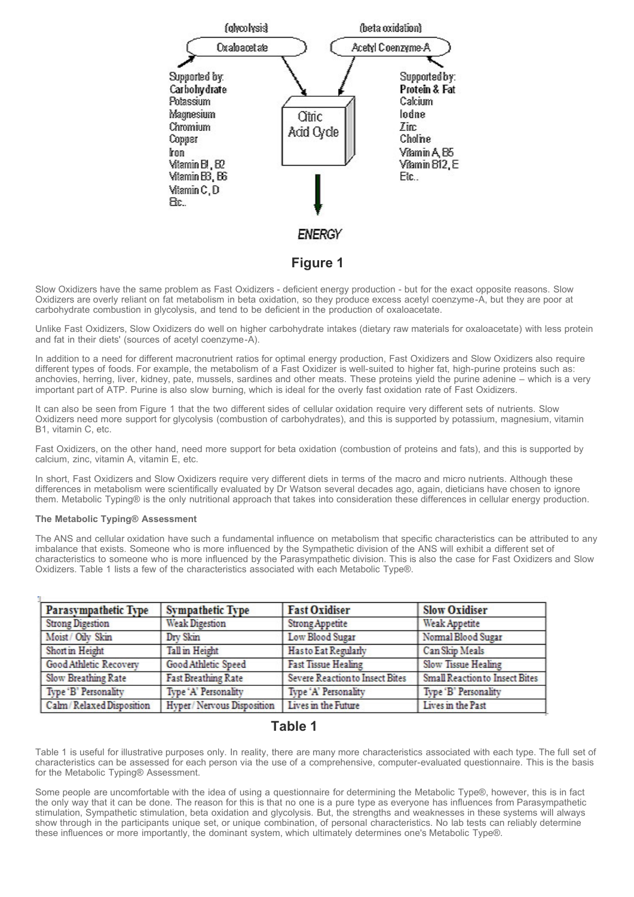

Slow Oxidizers have the same problem as Fast Oxidizers - deficient energy production - but for the exact opposite reasons. Slow Oxidizers are overly reliant on fat metabolism in beta oxidation, so they produce excess acetyl coenzyme-A, but they are poor at carbohydrate combustion in glycolysis, and tend to be deficient in the production of oxaloacetate.

Unlike Fast Oxidizers, Slow Oxidizers do well on higher carbohydrate intakes (dietary raw materials for oxaloacetate) with less protein and fat in their diets' (sources of acetyl coenzyme-A).

In addition to a need for different macronutrient ratios for optimal energy production, Fast Oxidizers and Slow Oxidizers also require different types of foods. For example, the metabolism of a Fast Oxidizer is well-suited to higher fat, high-purine proteins such as: anchovies, herring, liver, kidney, pate, mussels, sardines and other meats. These proteins yield the purine adenine – which is a very important part of ATP. Purine is also slow burning, which is ideal for the overly fast oxidation rate of Fast Oxidizers.

It can also be seen from Figure 1 that the two different sides of cellular oxidation require very different sets of nutrients. Slow Oxidizers need more support for glycolysis (combustion of carbohydrates), and this is supported by potassium, magnesium, vitamin B1, vitamin C, etc.

Fast Oxidizers, on the other hand, need more support for beta oxidation (combustion of proteins and fats), and this is supported by calcium, zinc, vitamin A, vitamin E, etc.

In short, Fast Oxidizers and Slow Oxidizers require very different diets in terms of the macro and micro nutrients. Although these differences in metabolism were scientifically evaluated by Dr Watson several decades ago, again, dieticians have chosen to ignore them. Metabolic Typing® is the only nutritional approach that takes into consideration these differences in cellular energy production.

# **The Metabolic Typing® Assessment**

The ANS and cellular oxidation have such a fundamental influence on metabolism that specific characteristics can be attributed to any imbalance that exists. Someone who is more influenced by the Sympathetic division of the ANS will exhibit a different set of characteristics to someone who is more influenced by the Parasympathetic division. This is also the case for Fast Oxidizers and Slow Oxidizers. Table 1 lists a few of the characteristics associated with each Metabolic Type®.

| Parasympathetic Type       | <b>Sympathetic Type</b>    | <b>Fast Oxidiser</b>            | <b>Slow Oxidiser</b>                  |
|----------------------------|----------------------------|---------------------------------|---------------------------------------|
| <b>Strong Digestion</b>    | <b>Weak Digestion</b>      | <b>Strong Appetite</b>          | <b>Weak Appetite</b>                  |
| Moist / Oily Skin          | Dry Skin                   | Low Blood Sugar                 | Normal Blood Sugar                    |
| Short in Height            | Tall in Height             | Has to Eat Regularly            | Can Skip Meals                        |
| Good Athletic Recovery     | Good Athletic Speed        | <b>Fast Tissue Healing</b>      | Slow Tissue Healing                   |
| Slow Breathing Rate        | <b>Fast Breathing Rate</b> | Severe Reaction to Insect Bites | <b>Small Reaction to Insect Bites</b> |
| Type 'B' Personality       | Type 'A' Personality       | Type 'A' Personality            | Type 'B' Personality                  |
| Calm / Relaxed Disposition | Hyper/Nervous Disposition  | Lives in the Future             | Lives in the Past                     |

# **Table 1**

Table 1 is useful for illustrative purposes only. In reality, there are many more characteristics associated with each type. The full set of characteristics can be assessed for each person via the use of a comprehensive, computer-evaluated questionnaire. This is the basis for the Metabolic Typing® Assessment.

Some people are uncomfortable with the idea of using a questionnaire for determining the Metabolic Type®, however, this is in fact the only way that it can be done. The reason for this is that no one is a pure type as everyone has influences from Parasympathetic stimulation, Sympathetic stimulation, beta oxidation and glycolysis. But, the strengths and weaknesses in these systems will always show through in the participants unique set, or unique combination, of personal characteristics. No lab tests can reliably determine these influences or more importantly, the dominant system, which ultimately determines one's Metabolic Type®.